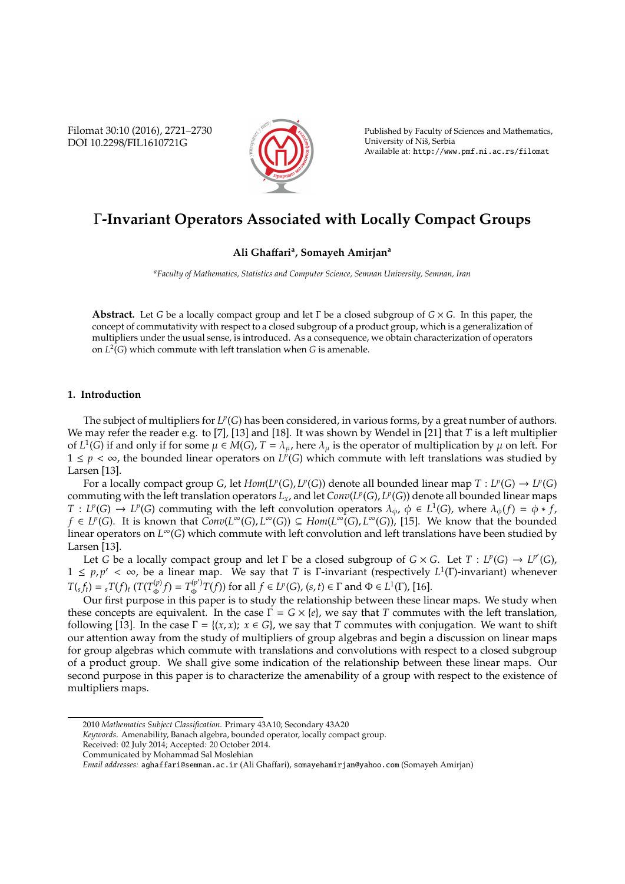Filomat 30:10 (2016), 2721–2730 DOI 10.2298/FIL1610721G



Published by Faculty of Sciences and Mathematics, University of Niš, Serbia Available at: http://www.pmf.ni.ac.rs/filomat

# Γ**-Invariant Operators Associated with Locally Compact Groups**

## **Ali Gha**ff**ari<sup>a</sup> , Somayeh Amirjan<sup>a</sup>**

*<sup>a</sup>Faculty of Mathematics, Statistics and Computer Science, Semnan University, Semnan, Iran*

**Abstract.** Let *G* be a locally compact group and let Γ be a closed subgroup of *G* × *G*. In this paper, the concept of commutativity with respect to a closed subgroup of a product group, which is a generalization of multipliers under the usual sense, is introduced. As a consequence, we obtain characterization of operators on *L* 2 (*G*) which commute with left translation when *G* is amenable.

## **1. Introduction**

The subject of multipliers for  $L^p(G)$  has been considered, in various forms, by a great number of authors. We may refer the reader e.g. to [7], [13] and [18]. It was shown by Wendel in [21] that *T* is a left multiplier of  $L^1(G)$  if and only if for some  $\mu \in M(G)$ ,  $T = \lambda_{\mu}$ , here  $\lambda_{\mu}$  is the operator of multiplication by  $\mu$  on left. For 1 ≤  $p$  <  $\infty$ , the bounded linear operators on *L<sup>p</sup>*(*G*) which commute with left translations was studied by Larsen [13].

For a locally compact group *G*, let  $Hom(L^p(G), L^p(G))$  denote all bounded linear map  $T: L^p(G) \to L^p(G)$ commuting with the left translation operators *Lx*, and let *Conv*(*L p* (*G*), *L p* (*G*)) denote all bounded linear maps  $T: L^p(G) \to L^p(G)$  commuting with the left convolution operators  $\lambda_{\phi}$ ,  $\phi \in L^1(G)$ , where  $\lambda_{\phi}(f) = \phi * f$ , *f* ∈ *L*<sup>*p*</sup>(*G*). It is known that  $Conv(L^{\infty}(G), L^{\infty}(G)) \subseteq Hom(L^{\infty}(G), L^{\infty}(G))$ , [15]. We know that the bounded linear operators on *L* <sup>∞</sup>(*G*) which commute with left convolution and left translations have been studied by Larsen [13].

Let *G* be a locally compact group and let *Γ* be a closed subgroup of *G* × *G*. Let *T* : *L<sup><i>p*</sup>(G),  $\rightarrow$  *L<sup>p'</sup>*(*G*),  $1 \leq p, p' < \infty$ , be a linear map. We say that *T* is Γ-invariant (respectively  $L^1(\Gamma)$ -invariant) whenever  $T(s, f_t) = sT(f)$ *t* (*T*(*T*<sup>(*p*)</sup>)  $T^{(p)}_{\Phi}(f) = T^{(p')}_{\Phi}$  $P_{\Phi}^{(p')}$  *T*(*f*)) for all *f* ∈ *L*<sup>*p*</sup>(*G*), (*s*, *t*) ∈ Γ and Φ ∈ *L*<sup>1</sup>(Γ), [16].

Our first purpose in this paper is to study the relationship between these linear maps. We study when these concepts are equivalent. In the case  $\Gamma = G \times \{e\}$ , we say that *T* commutes with the left translation, following [13]. In the case  $\Gamma = \{(x, x); x \in G\}$ , we say that *T* commutes with conjugation. We want to shift our attention away from the study of multipliers of group algebras and begin a discussion on linear maps for group algebras which commute with translations and convolutions with respect to a closed subgroup of a product group. We shall give some indication of the relationship between these linear maps. Our second purpose in this paper is to characterize the amenability of a group with respect to the existence of multipliers maps.

<sup>2010</sup> *Mathematics Subject Classification*. Primary 43A10; Secondary 43A20

*Keywords*. Amenability, Banach algebra, bounded operator, locally compact group.

Received: 02 July 2014; Accepted: 20 October 2014.

Communicated by Mohammad Sal Moslehian

*Email addresses:* aghaffari@semnan.ac.ir (Ali Ghaffari), somayehamirjan@yahoo.com (Somayeh Amirjan)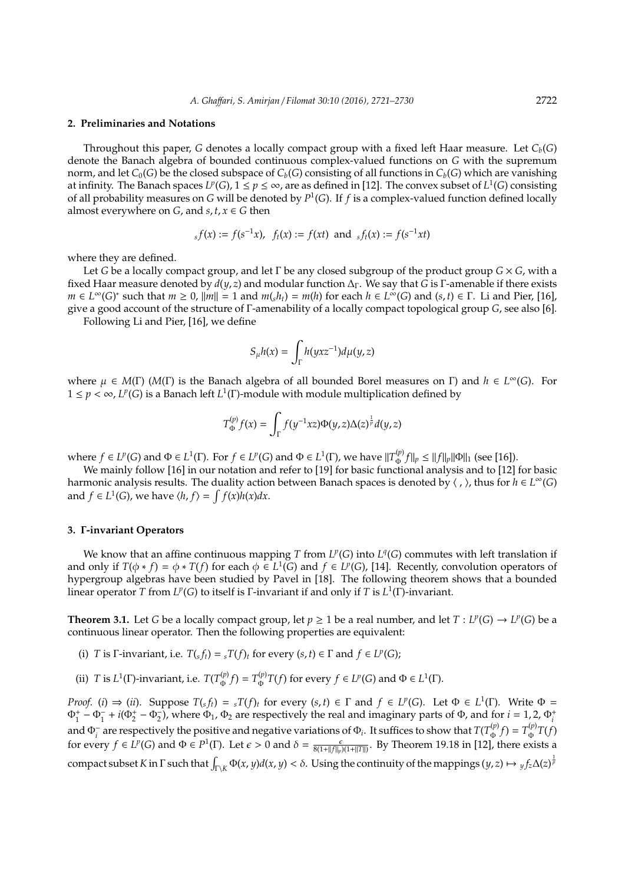#### **2. Preliminaries and Notations**

Throughout this paper, *G* denotes a locally compact group with a fixed left Haar measure. Let *Cb*(*G*) denote the Banach algebra of bounded continuous complex-valued functions on *G* with the supremum norm, and let  $C_0(G)$  be the closed subspace of  $C_b(G)$  consisting of all functions in  $C_b(G)$  which are vanishing at infinity. The Banach spaces  $L^p(G)$ ,  $1 \le p \le \infty$ , are as defined in [12]. The convex subset of  $L^1(G)$  consisting of all probability measures on *G* will be denoted by *P* 1 (*G*). If *f* is a complex-valued function defined locally almost everywhere on *G*, and *s*,  $t$ ,  $x \in G$  then

$$
_{s}f(x) := f(s^{-1}x), \ \ f_{t}(x) := f(xt) \ \text{and} \ \ _{s}f_{t}(x) := f(s^{-1}xt)
$$

where they are defined.

Let *G* be a locally compact group, and let Γ be any closed subgroup of the product group *G* × *G*, with a fixed Haar measure denoted by *d*(*y*, *z*) and modular function ∆Γ. We say that *G* is Γ-amenable if there exists *m* ∈ *L*<sup>∞</sup>(*G*)<sup>\*</sup> such that *m* ≥ 0,  $||m|| = 1$  and  $m(sh_t) = m(h)$  for each  $h \in L^\infty(G)$  and  $(s, t) \in \Gamma$ . Li and Pier, [16], give a good account of the structure of Γ-amenability of a locally compact topological group *G*, see also [6].

Following Li and Pier, [16], we define

$$
S_{\mu}h(x) = \int_{\Gamma} h(yxz^{-1})d\mu(y,z)
$$

where  $\mu \in M(\Gamma)$  ( $M(\Gamma)$  is the Banach algebra of all bounded Borel measures on  $\Gamma$ ) and  $h \in L^{\infty}(G)$ . For  $1 \leq p < \infty$ , *L<sup>p</sup>*(*G*) is a Banach left *L*<sup>1</sup>(*Γ*)-module with module multiplication defined by

$$
T_{\Phi}^{(p)}f(x) = \int_{\Gamma} f(y^{-1}xz)\Phi(y,z)\Delta(z)^{\frac{1}{p}}d(y,z)
$$

where  $f \in L^p(G)$  and  $\Phi \in L^1(\Gamma)$ . For  $f \in L^p(G)$  and  $\Phi \in L^1(\Gamma)$ , we have  $||T_{\Phi}^{(p)}||$  $\int_{\Phi}^{(p)} f ||_p \le ||f||_p ||\Phi||_1$  (see [16]).

We mainly follow [16] in our notation and refer to [19] for basic functional analysis and to [12] for basic harmonic analysis results. The duality action between Banach spaces is denoted by  $\langle$  ,  $\rangle$ , thus for  $h \in L^{\infty}(G)$ and  $f \in L^1(G)$ , we have  $\langle h, f \rangle = \int f(x)h(x)dx$ .

### **3.** Γ**-invariant Operators**

We know that an affine continuous mapping *T* from  $L^p(G)$  into  $L^q(G)$  commutes with left translation if and only if  $T(\phi * f) = \phi * T(f)$  for each  $\phi \in L^1(G)$  and  $f \in L^p(G)$ , [14]. Recently, convolution operators of hypergroup algebras have been studied by Pavel in [18]. The following theorem shows that a bounded linear operator *T* from  $L^p(G)$  to itself is Γ-invariant if and only if *T* is  $L^1(\Gamma)$ -invariant.

**Theorem 3.1.** Let *G* be a locally compact group, let  $p \ge 1$  be a real number, and let  $T: L^p(G) \to L^p(G)$  be a continuous linear operator. Then the following properties are equivalent:

- (i) *T* is  $\Gamma$ -invariant, i.e.  $T(s, f_t) = sT(f_t)$  for every  $(s, t) \in \Gamma$  and  $f \in L^p(G)$ ;
- (ii) *T* is  $L^1(\Gamma)$ -invariant, i.e.  $T(T_{\Phi}^{(p)})$  $T^{(p)}_{\Phi}(f) = T^{(p)}_{\Phi}$  $\Phi_{\Phi}^{(p)}T(f)$  for every  $f \in L^p(G)$  and  $\Phi \in L^1(\Gamma)$ .

*Proof.* (*i*)  $\Rightarrow$  (*ii*). Suppose  $T(s,f_t) = sT(f)_t$  for every  $(s,t) \in \Gamma$  and  $f \in L^p(G)$ . Let  $\Phi \in L^1(\Gamma)$ . Write  $\Phi =$  $\Phi_1^+$  –  $\Phi_1^-$  +  $i(\Phi_2^+$  –  $\Phi_2^-$ ), where  $\Phi_1$ ,  $\Phi_2$  are respectively the real and imaginary parts of  $\Phi$ , and for  $i = 1, 2, \Phi_i^+$  $\Phi_1^2$  are respectively the positive and negative variations of  $\Phi_i$ . It suffices to show that  $T(T_{\Phi}^{(p)}f) = T_{\Phi}^{(p)}T(f_{\Phi})$  $T^{(p)}_{\Phi} f$ ) =  $T^{(p)}_{\Phi}$  $\int_{\Phi}^{\Psi} T(f)$ for every  $f \in L^p(G)$  and  $\Phi \in P^1(\Gamma)$ . Let  $\epsilon > 0$  and  $\delta = \frac{\epsilon}{8(1 + ||f||_p)(1 + ||T||)}$ . By Theorem 19.18 in [12], there exists a compact subset *K* in  $\Gamma$  such that  $\int_{\Gamma\setminus K} \Phi(x, y) d(x, y) < \delta$ . Using the continuity of the mappings  $(y, z) \mapsto y f_z \Delta(z)^{\frac{1}{p}}$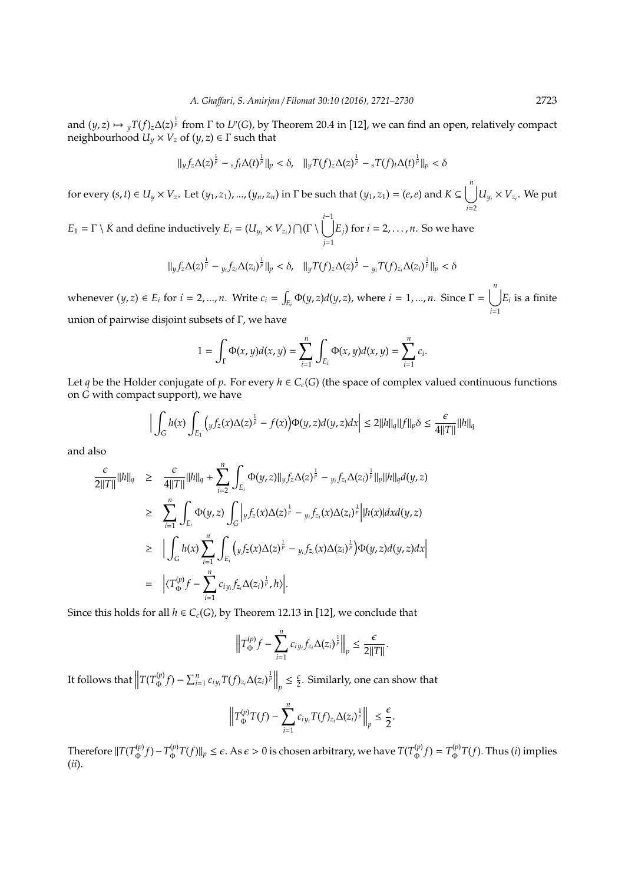and  $(y, z) \mapsto yT(f)_z \Delta(z)^{\frac{1}{p}}$  from  $\Gamma$  to  $L^p(G)$ , by Theorem 20.4 in [12], we can find an open, relatively compact  $\mathbf{neighbourhood}\ U_y\times V_z\ \mathbf{of}\ (y,z)\in \Gamma\ \mathbf{such}\ \mathbf{that}$ 

$$
\|yf_z\Delta(z)^{\frac{1}{p}} - sf_t\Delta(t)^{\frac{1}{p}}\|_p < \delta, \quad \|yT(f)_z\Delta(z)^{\frac{1}{p}} - sT(f)_t\Delta(t)^{\frac{1}{p}}\|_p < \delta
$$

for every  $(s,t)\in U_y\times V_z$ . Let  $(y_1,z_1),...,(y_n,z_n)$  in  $\Gamma$  be such that  $(y_1,z_1)=(e,e)$  and  $K\subseteq \bigcup^nU_{y_i}\times V_{z_i}.$  We put *i*=2

 $E_1 = \Gamma \setminus K$  and define inductively  $E_i = (U_{y_i} \times V_{z_i}) \bigcap (\Gamma \setminus \bigcup^{i-1}$ *j*=1 *Ej*) for *i* = 2, . . . , *n*. So we have

$$
\|yf_z\Delta(z)^{\frac{1}{p}}-y_if_{z_i}\Delta(z_i)^{\frac{1}{p}}\|_p < \delta, \quad \|yT(f)_z\Delta(z)^{\frac{1}{p}}-y_iT(f)_{z_i}\Delta(z_i)^{\frac{1}{p}}\|_p < \delta
$$

whenever  $(y, z) \in E_i$  for  $i = 2, ..., n$ . Write  $c_i = \int_{E_i} \Phi(y, z) d(y, z)$ , where  $i = 1, ..., n$ . Since  $\Gamma = \bigcup_{i=1}^{n}$ *i*=1  $E_i$  is a finite union of pairwise disjoint subsets of Γ, we have

$$
1 = \int_{\Gamma} \Phi(x, y) d(x, y) = \sum_{i=1}^{n} \int_{E_i} \Phi(x, y) d(x, y) = \sum_{i=1}^{n} c_i.
$$

Let *q* be the Holder conjugate of *p*. For every  $h \in C_c(G)$  (the space of complex valued continuous functions on *G* with compact support), we have

$$
\Big|\int_G h(x)\int_{E_1} \Big(yf_z(x)\Delta(z)^{\frac{1}{p}} - f(x)\Big)\Phi(y,z)d(y,z)dx\Big|\leq 2||h||_q||f||_p\delta\leq \frac{\epsilon}{4||T||}||h||_q
$$

and also

$$
\frac{\epsilon}{2||T||}||h||_q \geq \frac{\epsilon}{4||T||}||h||_q + \sum_{i=2}^n \int_{E_i} \Phi(y, z)||_y f_z \Delta(z)^{\frac{1}{p}} - \sum_{y_i} f_{z_i} \Delta(z_i)^{\frac{1}{p}}||_p||h||_q d(y, z)
$$
\n
$$
\geq \sum_{i=1}^n \int_{E_i} \Phi(y, z) \int_G \left| y f_z(x) \Delta(z)^{\frac{1}{p}} - y_i f_{z_i}(x) \Delta(z_i)^{\frac{1}{p}} \right| |h(x)| dx d(y, z)
$$
\n
$$
\geq \left| \int_G h(x) \sum_{i=1}^n \int_{E_i} \left( y f_z(x) \Delta(z)^{\frac{1}{p}} - y_i f_{z_i}(x) \Delta(z_i)^{\frac{1}{p}} \right) \Phi(y, z) d(y, z) dx \right|
$$
\n
$$
= \left| \langle T_{\Phi}^{(p)} f - \sum_{i=1}^n c_{iy_i} f_{z_i} \Delta(z_i)^{\frac{1}{p}}, h \rangle \right|.
$$

Since this holds for all  $h \in C_c(G)$ , by Theorem 12.13 in [12], we conclude that

$$
\left\|T_{\Phi}^{(p)}f-\sum_{i=1}^n c_{iy_i}f_{z_i}\Delta(z_i)^{\frac{1}{p}}\right\|_p\leq \frac{\epsilon}{2||T||}.
$$

It follows that  $\left\|T(T^{(p)}_{\Phi} \right\|$  $\int_{\Phi}^{(p)} f$ ) –  $\sum_{i=1}^{n} c_{iy_i} T(f)_{z_i} \Delta(z_i)^{\frac{1}{p}} \Big\|_{p}$  $\leq \frac{\epsilon}{2}$ . Similarly, one can show that

$$
\left\|T_{\Phi}^{(p)}T(f)-\sum_{i=1}^n c_{iy_i}T(f)_{z_i}\Delta(z_i)^{\frac{1}{p}}\right\|_p\leq \frac{\epsilon}{2}.
$$

Therefore  $\|T(T^{(p)}_{\Phi})\|$ Φ *f*)−*T* (*p*)  $\int_{\Phi}^{(p)} T(f)$   $\Vert p \leq \epsilon$ . As  $\epsilon > 0$  is chosen arbitrary, we have  $T(T^{(p)}_{\Phi})$  $T^{(p)}_{\Phi}(f) = T^{(p)}_{\Phi}$  $\int_{\Phi}^{\phi} T(f)$ . Thus (*i*) implies (*ii*).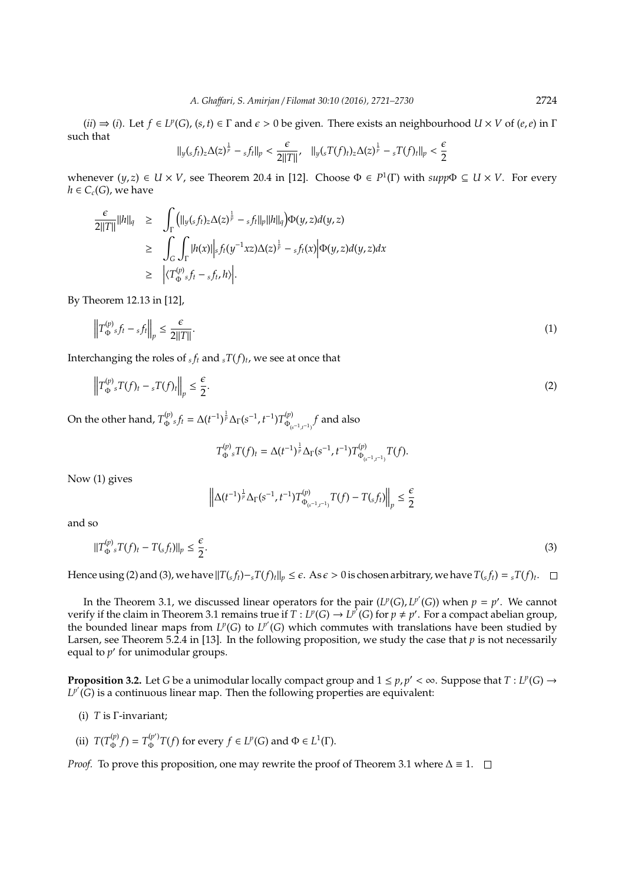$(iii) \Rightarrow (i)$ . Let  $f \in L^p(G)$ ,  $(s, t) \in \Gamma$  and  $\epsilon > 0$  be given. There exists an neighbourhood  $U \times V$  of  $(e, e)$  in  $\Gamma$ such that

$$
\|y(sf_t)_z\Delta(z)^{\frac{1}{p}} - sf_t\|_p < \frac{\epsilon}{2\|T\|}, \quad \|y(sT(f)_t)_z\Delta(z)^{\frac{1}{p}} - sT(f)_t\|_p < \frac{\epsilon}{2}
$$

whenever  $(y, z) \in U \times V$ , see Theorem 20.4 in [12]. Choose  $\Phi \in P^1(\Gamma)$  with  $supp \Phi \subseteq U \times V$ . For every  $h \in C_c(G)$ , we have

$$
\frac{\epsilon}{2||T||}||h||_q \geq \int_{\Gamma} (||y(sf_t)_z \Delta(z)^{\frac{1}{p}} - s f_t||_p ||h||_q) \Phi(y, z) d(y, z)
$$
\n
$$
\geq \int_{G} \int_{\Gamma} |h(x)||_s f_t(y^{-1} x z) \Delta(z)^{\frac{1}{p}} - s f_t(x) |\Phi(y, z) d(y, z) dx
$$
\n
$$
\geq \left| \langle T_{\Phi}^{(p)} s f_t - s f_t, h \rangle \right|.
$$

By Theorem 12.13 in [12],

$$
\left\|T_{\Phi}^{(p)} f_t - f_t\right\|_p \le \frac{\epsilon}{2\|T\|}.\tag{1}
$$

Interchanging the roles of  $_{sf}$  and  $_{s}T(f)$ <sub>t</sub>, we see at once that

$$
\left\|T_{\Phi}^{(p)}\,T(f)_t - \,{}_sT(f)_t\right\|_p \le \frac{\epsilon}{2}.\tag{2}
$$

On the other hand,  $T^{(p)}_{\Phi}{}_s f_t = \Delta (t^{-1})^{\frac{1}{p}} \Delta_\Gamma (s^{-1},t^{-1}) T^{(p)}_{\Phi_q}$ Φ(*s*−1,*t*−1) *f* and also

$$
T_{\Phi}^{(p)}{}_{s}T(f)_{t}=\Delta(t^{-1})^{\frac{1}{p}}\Delta_{\Gamma}(s^{-1},t^{-1})T_{\Phi_{(s^{-1},t^{-1})}}^{(p)}T(f).
$$

Now (1) gives

$$
\left\| \Delta (t^{-1})^{\frac{1}{p}} \Delta_\Gamma(s^{-1},t^{-1}) T^{(p)}_{\Phi_{(s^{-1},t^{-1})}} T(f) - T(_sf_t) \right\|_p \leq \frac{\epsilon}{2}
$$

and so

$$
||T_{\Phi}^{(p)} \cdot T(f)_t - T(\mathbf{s} f_t)||_p \le \frac{\epsilon}{2}.
$$
\n
$$
(3)
$$

Hence using (2) and (3), we have  $||T(s_{tt}) - sT(f)_{tt}||_p \leq \epsilon$ . As  $\epsilon > 0$  is chosen arbitrary, we have  $T(s_{tt}) = sT(f)_{tt}$ .

In the Theorem 3.1, we discussed linear operators for the pair  $(L^p(G), L^{p'}(G))$  when  $p = p'$ . We cannot verify if the claim in Theorem 3.1 remains true if  $T: L^p(G) \to L^{p'}(G)$  for  $p \neq p'$ . For a compact abelian group, the bounded linear maps from  $L^p(G)$  to  $L^{p'}(G)$  which commutes with translations have been studied by Larsen, see Theorem 5.2.4 in [13]. In the following proposition, we study the case that  $p$  is not necessarily equal to  $p'$  for unimodular groups.

**Proposition 3.2.** Let *G* be a unimodular locally compact group and  $1 \le p, p' < \infty$ . Suppose that  $T : L^p(G) \to$  $L^{p'}(G)$  is a continuous linear map. Then the following properties are equivalent:

- (i) *T* is Γ-invariant;
- (ii)  $T(T_{\Phi}^{(p)})$  $T_{\Phi}^{(p)}(f) = T_{\Phi}^{(p')}$  $\Phi_{\Phi}^{(p')T}(f)$  for every  $f \in L^p(G)$  and  $\Phi \in L^1(\Gamma)$ .

*Proof.* To prove this proposition, one may rewrite the proof of Theorem 3.1 where  $\Delta \equiv 1$ .  $\square$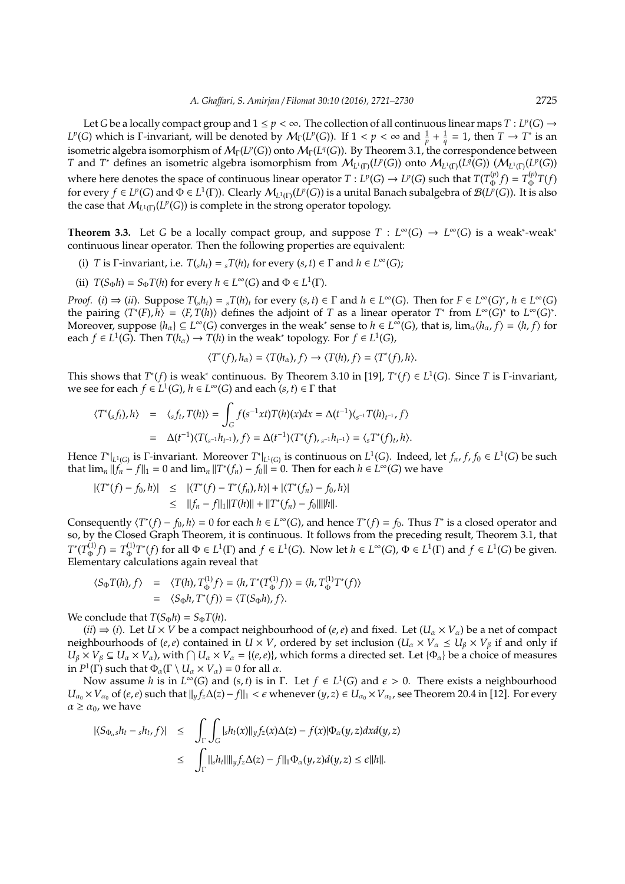Let *G* be a locally compact group and  $1 \leq p < \infty$ . The collection of all continuous linear maps  $T: L^p(G) \to$ *L<sup>p</sup>*(*G*) which is Γ-invariant, will be denoted by  $M_\Gamma(L^p(G))$ . If  $1 < p < \infty$  and  $\frac{1}{p} + \frac{1}{q} = 1$ , then  $T \to T^*$  is an isometric algebra isomorphism of  $\mathcal{M}_{\Gamma}(L^p(G))$  onto  $\mathcal{M}_{\Gamma}(L^q(G))$ . By Theorem 3.1, the correspondence between *T* and *T*<sup>\*</sup> defines an isometric algebra isomorphism from  $\mathcal{M}_{L^1(\Gamma)}(L^p(G))$  onto  $\mathcal{M}_{L^1(\Gamma)}(L^q(G))$   $(\mathcal{M}_{L^1(\Gamma)}(L^p(G)))$ where here denotes the space of continuous linear operator  $T: L^p(G) \to L^p(G)$  such that  $T(T^{(p)}_{\Phi})$  $T^{(p)}_{\Phi}(f) = T^{(p)}_{\Phi}$  $\int_{\Phi}^{\Psi} T(f)$ for every  $f \in L^p(G)$  and  $\Phi \in L^1(\Gamma)$ ). Clearly  $\mathcal{M}_{L^1(\Gamma)}(L^p(G))$  is a unital Banach subalgebra of  $\mathcal{B}(L^p(G))$ . It is also the case that  $M_{L^1(\Gamma)}(L^p(G))$  is complete in the strong operator topology.

**Theorem 3.3.** Let *G* be a locally compact group, and suppose  $T : L^{\infty}(G) \to L^{\infty}(G)$  is a weak<sup>\*</sup>-weak<sup>\*</sup> continuous linear operator. Then the following properties are equivalent:

- (i) *T* is  $\Gamma$ -invariant, i.e.  $T(s h_t) = {}_sT(h)_t$  for every  $(s, t) \in \Gamma$  and  $h \in L^{\infty}(G)$ ;
- (ii)  $T(S_{\Phi}h) = S_{\Phi}T(h)$  for every  $h \in L^{\infty}(G)$  and  $\Phi \in L^{1}(\Gamma)$ .

*Proof.* (*i*)  $\Rightarrow$  (*ii*). Suppose  $T(sh_t) = {}_sT(h)_t$  for every  $(s,t) \in \Gamma$  and  $h \in L^{\infty}(G)$ . Then for  $F \in L^{\infty}(G)^*$ ,  $h \in L^{\infty}(G)$ the pairing  $\langle T^*(F), h \rangle = \langle F, T(h) \rangle$  defines the adjoint of *T* as a linear operator *T*<sup>\*</sup> from  $L^\infty(G)^*$  to  $L^\infty(G)^*$ . Moreover, suppose  $\{h_{\alpha}\}\subseteq L^{\infty}(G)$  converges in the weak<sup>\*</sup> sense to  $h \in L^{\infty}(G)$ , that is,  $\lim_{\alpha}\langle h_{\alpha}, f \rangle = \langle h, f \rangle$  for each *f*  $\in L^1(G)$ . Then  $T(h_\alpha) \to T(h)$  in the weak<sup>\*</sup> topology. For *f*  $\in L^1(G)$ ,

$$
\langle T^*(f), h_\alpha\rangle = \langle T(h_\alpha), f\rangle \to \langle T(h), f\rangle = \langle T^*(f), h\rangle.
$$

This shows that  $T^*(f)$  is weak<sup>\*</sup> continuous. By Theorem 3.10 in [19],  $T^*(f) \in L^1(G)$ . Since *T* is Γ-invariant, we see for each  $f \in L^1(G)$ ,  $h \in L^\infty(G)$  and each  $(s, t) \in \Gamma$  that

$$
\langle T^*(s f_t), h \rangle = \langle s f_t, T(h) \rangle = \int_G f(s^{-1}xt)T(h)(x)dx = \Delta(t^{-1})\langle s^{-1}T(h)_{t^{-1}}, f \rangle
$$
  
=  $\Delta(t^{-1})\langle T(s^{-1}h_{t^{-1}}), f \rangle = \Delta(t^{-1})\langle T^*(f), s^{-1}h_{t^{-1}} \rangle = \langle sT^*(f)_t, h \rangle.$ 

Hence  $T^*|_{L^1(G)}$  is  $\Gamma$ -invariant. Moreover  $T^*|_{L^1(G)}$  is continuous on  $L^1(G)$ . Indeed, let  $f_n, f, f_0 \in L^1(G)$  be such that  $\lim_{n} ||f_n - f||_1 = 0$  and  $\lim_{n} ||T^*(f_n) - f_0|| = 0$ . Then for each  $h \in L^{\infty}(G)$  we have

$$
\begin{aligned} |\langle T^*(f) - f_0, h \rangle| &\leq & |\langle T^*(f) - T^*(f_n), h \rangle| + |\langle T^*(f_n) - f_0, h \rangle| \\ &\leq & ||f_n - f||_1 ||T(h)|| + ||T^*(f_n) - f_0||||h||. \end{aligned}
$$

Consequently  $\langle T^*(f) - f_0, h \rangle = 0$  for each  $h \in L^\infty(G)$ , and hence  $T^*(f) = f_0$ . Thus  $T^*$  is a closed operator and so, by the Closed Graph Theorem, it is continuous. It follows from the preceding result, Theorem 3.1, that  $T^*(T_{\Phi}^{(1)}$  $T^{(1)}_{\Phi}f$ ) =  $T^{(1)}_{\Phi}$  $L^{(1)}T^*(f)$  for all  $\Phi \in L^1(\Gamma)$  and  $f \in L^1(G)$ . Now let  $h \in L^{\infty}(G)$ ,  $\Phi \in L^1(\Gamma)$  and  $f \in L^1(G)$  be given. Elementary calculations again reveal that

$$
\langle S_{\Phi}T(h), f \rangle = \langle T(h), T_{\Phi}^{(1)}f \rangle = \langle h, T^*(T_{\Phi}^{(1)}f) \rangle = \langle h, T_{\Phi}^{(1)}T^*(f) \rangle
$$
  
=  $\langle S_{\Phi}h, T^*(f) \rangle = \langle T(S_{\Phi}h), f \rangle.$ 

*We conclude that*  $T(S_{\Phi}h) = S_{\Phi}T(h)$ .

 $(ii) \Rightarrow (i)$ . Let  $U \times V$  be a compact neighbourhood of  $(e, e)$  and fixed. Let  $(U_\alpha \times V_\alpha)$  be a net of compact neighbourhoods of (*e*,*e*) contained in *U* × *V*, ordered by set inclusion ( $U_\alpha \times V_\alpha \leq U_\beta \times V_\beta$  if and only if  $U_\beta \times V_\beta \subseteq U_\alpha \times V_\alpha$ ), with  $\bigcap U_\alpha \times V_\alpha = \{(e,\rho)\}\)$ , which forms a directed set. Let  $\{\Phi_\alpha\}$  be a choice of measures in  $P^1(\Gamma)$  such that  $\Phi_\alpha(\Gamma \setminus U_\alpha \times V_\alpha) = 0$  for all  $\alpha$ .

Now assume *h* is in  $L^{\infty}(G)$  and  $(s, t)$  is in  $\Gamma$ . Let  $f \in L^{1}(G)$  and  $\epsilon > 0$ . There exists a neighbourhood *U*<sub>α0</sub> × *V*<sub>α0</sub> of (*e*,*e*) such that  $||yf_z\Delta(z) - f||_1 < \epsilon$  whenever (*y*, *z*) ∈ *U*<sub>α0</sub> × *V*<sub>α0</sub>, see Theorem 20.4 in [12]. For every  $\alpha \geq \alpha_0$ , we have

$$
\begin{array}{rcl}\n|\langle S_{\Phi_{\alpha}s}h_t - {}_{s}h_t, f \rangle| & \leq & \displaystyle\int_{\Gamma} \int_{G} |{}_{s}h_t(x)||_{y} f_z(x) \Delta(z) - f(x)|\Phi_{\alpha}(y, z) dx d(y, z) \\
& \leq & \displaystyle\int_{\Gamma} ||{}_{s}h_t|| \, ||_{y} f_z \Delta(z) - f ||_{1} \Phi_{\alpha}(y, z) d(y, z) \leq \epsilon ||h||.\n\end{array}
$$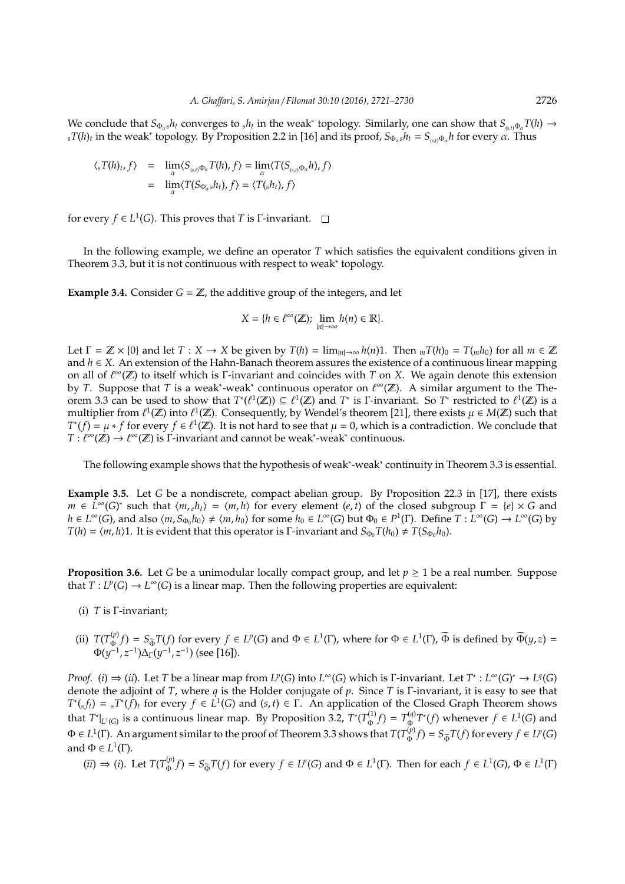We conclude that  $S_{\Phi_a s} h_t$  converges to  $_s h_t$  in the weak<sup>\*</sup> topology. Similarly, one can show that  $S_{(s,t)} \Phi_a T(h) \to$  $\int_{s} T(h) f$  in the weak\* topology. By Proposition 2.2 in [16] and its proof,  $S_{\Phi_{\alpha}s} h_t = S_{(s,t)} \Phi_{\alpha} h$  for every  $\alpha$ . Thus

$$
\langle {}_{s}T(h)_{t}, f \rangle = \lim_{\alpha} \langle S_{({s},t)} \Phi_{\alpha} T(h), f \rangle = \lim_{\alpha} \langle T(S_{({s},t)} \Phi_{\alpha} h), f \rangle
$$
  
= 
$$
\lim_{\alpha} \langle T(S_{\Phi_{\alpha} s} h_{t}), f \rangle = \langle T({s} h_{t}), f \rangle
$$

for every  $f \in L^1(G)$ . This proves that *T* is *Γ*-invariant.

In the following example, we define an operator *T* which satisfies the equivalent conditions given in Theorem 3.3, but it is not continuous with respect to weak<sup>∗</sup> topology.

**Example 3.4.** Consider  $G = \mathbb{Z}$ , the additive group of the integers, and let

$$
X = \{ h \in \ell^{\infty}(\mathbb{Z}); \ \lim_{|n| \to \infty} h(n) \in \mathbb{R} \}.
$$

Let  $\Gamma = \mathbb{Z} \times \{0\}$  and let  $T : X \to X$  be given by  $T(h) = \lim_{|n| \to \infty} h(n)1$ . Then  $_m T(h)_0 = T(m h_0)$  for all  $m \in \mathbb{Z}$ and *h* ∈ *X*. An extension of the Hahn-Banach theorem assures the existence of a continuous linear mapping on all of ` <sup>∞</sup>(Z) to itself which is Γ-invariant and coincides with *T* on *X*. We again denote this extension by *T*. Suppose that *T* is a weak<sup>\*</sup>-weak<sup>\*</sup> continuous operator on  $\ell^{\infty}(\mathbb{Z})$ . A similar argument to the Theorem 3.3 can be used to show that  $T^*(\ell^1(\mathbb{Z})) \subseteq \ell^1(\mathbb{Z})$  and  $T^*$  is Γ-invariant. So  $T^*$  restricted to  $\ell^1(\mathbb{Z})$  is a multiplier from  $\ell^1(\mathbb{Z})$  into  $\ell^1(\mathbb{Z})$ . Consequently, by Wendel's theorem [21], there exists  $\mu \in M(\mathbb{Z})$  such that  $T^*(f) = \mu * f$  for every  $f \in \ell^1(\mathbb{Z})$ . It is not hard to see that  $\mu = 0$ , which is a contradiction. We conclude that  $T: \ell^{\infty}(\mathbb{Z}) \to \ell^{\infty}(\mathbb{Z})$  is  $\Gamma$ -invariant and cannot be weak\*-weak\* continuous.

The following example shows that the hypothesis of weak<sup>\*</sup>-weak<sup>\*</sup> continuity in Theorem 3.3 is essential.

**Example 3.5.** Let *G* be a nondiscrete, compact abelian group. By Proposition 22.3 in [17], there exists  $m \in L^{\infty}(G)^*$  such that  $\langle m, e h_t \rangle = \langle m, h \rangle$  for every element  $(e, t)$  of the closed subgroup  $\Gamma = \{e\} \times G$  and  $h \in L^{\infty}(G)$ , and also  $\langle m, S_{\Phi_0} h_0 \rangle \neq \langle m, h_0 \rangle$  for some  $h_0 \in L^{\infty}(G)$  but  $\Phi_0 \in P^1(\Gamma)$ . Define  $T: L^{\infty}(G) \to L^{\infty}(G)$  by *T*(*h*) =  $\langle m, h \rangle$ 1. It is evident that this operator is Γ-invariant and *S*<sub>Φ0</sub>*T*(*h*<sub>0</sub>)  $\neq T(S_{\Phi_0}h_0)$ .

**Proposition 3.6.** Let *G* be a unimodular locally compact group, and let  $p \ge 1$  be a real number. Suppose that  $T: L^p(G) \to L^\infty(G)$  is a linear map. Then the following properties are equivalent:

- (i) *T* is Γ-invariant;
- (ii)  $T(T_{\Phi}^{(p)})$  $\Phi^{(p)}(f) = S_{\overline{\Phi}}T(f)$  for every *f* ∈ *L*<sup>*P*</sup>(*G*) and Φ ∈ *L*<sup>1</sup>(Γ), where for Φ ∈ *L*<sup>1</sup>(Γ),  $\overline{\Phi}$  is defined by  $\overline{\Phi}(y, z) =$ Φ(*y* −1 , *z* −1 )∆Γ(*y* −1 , *z* −1 ) (see [16]).

*Proof.* (*i*)  $\Rightarrow$  (*ii*). Let *T* be a linear map from *L<sup>p</sup>*(*G*) into *L*<sup>∞</sup>(*G*) which is Γ-invariant. Let *T*<sup>\*</sup> : *L*<sup>∞</sup>(*G*)<sup>\*</sup>  $\rightarrow$  *L*<sup>*q*(*G*)</sup> denote the adjoint of *T*, where *q* is the Holder conjugate of *p*. Since *T* is Γ-invariant, it is easy to see that  $T^*(s f_t) = sT^*(f)_t$  for every  $f \in L^1(G)$  and  $(s, t) \in \Gamma$ . An application of the Closed Graph Theorem shows that  $T^*|_{L^1(G)}$  is a continuous linear map. By Proposition 3.2,  $T^*(T^{(1)}_{\Phi})$  $T^{(1)}_{\Phi}f$  =  $T^{(q)}_{\Phi}$  $\Phi_{\Phi}^{(q)}$ *T*<sup>∗</sup>(*f*) whenever *f* ∈ *L*<sup>1</sup>(*G*) and  $\Phi \in L^1(\Gamma)$ . An argument similar to the proof of Theorem 3.3 shows that  $T(T^{(p)}_{\Phi})$  $F_{\Phi}(p) = S_{\widetilde{\Phi}}T(f)$  for every  $f \in L^p(G)$ and  $\Phi \in L^1(\Gamma)$ .

 $(ii) \Rightarrow (i)$ . Let  $T(T_{\Phi}^{(p)})$  $\Phi_{\Phi}(p) = S_{\widetilde{\Phi}}T(f)$  for every  $f \in L^p(G)$  and  $\Phi \in L^1(\Gamma)$ . Then for each  $f \in L^1(G)$ ,  $\Phi \in L^1(\Gamma)$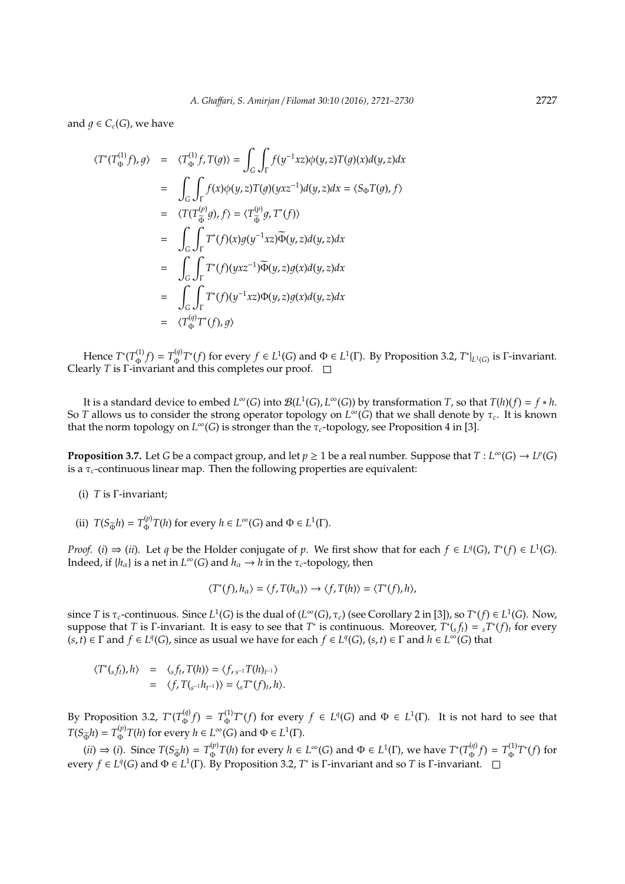and  $q \in C_c(G)$ , we have

$$
\langle T^*(T_{\Phi}^{(1)}f), g \rangle = \langle T_{\Phi}^{(1)}f, T(g) \rangle = \int_G \int_{\Gamma} f(y^{-1}xz) \phi(y, z) T(g)(x) d(y, z) dx
$$
  
\n
$$
= \int_G \int_{\Gamma} f(x) \phi(y, z) T(g)(yxz^{-1}) d(y, z) dx = \langle S_{\Phi} T(g), f \rangle
$$
  
\n
$$
= \langle T(T_{\Phi}^{(p)}g), f \rangle = \langle T_{\Phi}^{(p)}g, T^*(f) \rangle
$$
  
\n
$$
= \int_G \int_{\Gamma} T^*(f)(x) g(y^{-1}xz) \tilde{\Phi}(y, z) d(y, z) dx
$$
  
\n
$$
= \int_G \int_{\Gamma} T^*(f)(yzz^{-1}) \tilde{\Phi}(y, z) g(x) d(y, z) dx
$$
  
\n
$$
= \int_G \int_{\Gamma} T^*(f)(y^{-1}xz) \Phi(y, z) g(x) d(y, z) dx
$$
  
\n
$$
= \langle T_{\Phi}^{(q)} T^*(f), g \rangle
$$

Hence  $T^*(T_{\Phi}^{(1)})$  $T^{(1)}_{\Phi}f$  =  $T^{(q)}_{\Phi}$  $\Phi$ <sup>(*q*)</sup>)  $T^*(f)$  for every *f* ∈ *L*<sup>1</sup>(*G*) and Φ ∈ *L*<sup>1</sup>(Γ). By Proposition 3.2,  $T^*|_{L^1(G)}$  is Γ-invariant. Clearly *T* is Γ-invariant and this completes our proof.

It is a standard device to embed  $L^{\infty}(G)$  into  $\mathcal{B}(L^1(G), L^{\infty}(G))$  by transformation *T*, so that  $T(h)(f) = f * h$ . So *T* allows us to consider the strong operator topology on  $L^{\infty}(G)$  that we shall denote by  $\tau_c$ . It is known that the norm topology on  $L^{\infty}(G)$  is stronger than the  $\tau_c$ -topology, see Proposition 4 in [3].

**Proposition 3.7.** Let *G* be a compact group, and let  $p \ge 1$  be a real number. Suppose that  $T: L^{\infty}(G) \to L^p(G)$ is a  $\tau_c$ -continuous linear map. Then the following properties are equivalent:

- (i) *T* is Γ-invariant;
- (ii)  $T(S_{\Phi}h) = T_{\Phi}^{(p)}$  $P_{\Phi}^{(p)}$  *T*(*h*) for every *h* ∈ *L*<sup>∞</sup>(*G*) and Φ ∈ *L*<sup>1</sup>(Γ).

*Proof.* (*i*)  $\Rightarrow$  (*ii*). Let *q* be the Holder conjugate of *p*. We first show that for each  $f \in L^q(G)$ ,  $T^*(f) \in L^1(G)$ . Indeed, if  $\{h_\alpha\}$  is a net in  $L^\infty(G)$  and  $h_\alpha \to h$  in the  $\tau_c$ -topology, then

$$
\langle T^*(f), h_\alpha \rangle = \langle f, T(h_\alpha) \rangle \longrightarrow \langle f, T(h) \rangle = \langle T^*(f), h \rangle,
$$

since *T* is  $\tau_c$ -continuous. Since  $L^1(G)$  is the dual of  $(L^\infty(G), \tau_c)$  (see Corollary 2 in [3]), so  $T^*(f) \in L^1(G)$ . Now, suppose that *T* is *Γ*-invariant. It is easy to see that *T*<sup>\*</sup> is continuous. Moreover,  $T^*(s f_t) = sT^*(f)_t$  for every  $(s, t) \in \Gamma$  and  $f \in L^q(G)$ , since as usual we have for each  $f \in L^q(G)$ ,  $(s, t) \in \Gamma$  and  $h \in L^{\infty}(G)$  that

$$
\langle T^*(_sf_t), h \rangle = \langle _sf_t, T(h) \rangle = \langle f, _{s^{-1}}T(h)_{t^{-1}} \rangle
$$
  
= 
$$
\langle f, T_{(s^{-1}}h_{t^{-1}}) \rangle = \langle _sT^*(f)_t, h \rangle.
$$

By Proposition 3.2,  $T^*(T_{\Phi}^{(q)})$  $T^{(q)}_{\Phi}f$  =  $T^{(1)}_{\Phi}$  $\Phi_{\Phi}^{(1)}$ *T*<sup>∗</sup>(*f*) for every *f* ∈ *L*<sup>*q*</sup>(*G*) and Φ ∈ *L*<sup>1</sup>(Γ). It is not hard to see that  $T(S_{\widetilde{\Phi}}h) = T_{\Phi}^{(p)}$  $P_{\Phi}^{(p)}$  *T*(*h*) for every *h* ∈ *L*<sup>∞</sup>(*G*) and Φ ∈ *L*<sup>1</sup>(Γ).

 $(ii) \Rightarrow (i)$ . Since  $T(S_{\tilde{\Phi}}h) = T_{\Phi}^{(p)}$  $\Phi_{\Phi}^{(p)}$ *T*(*h*) for every *h* ∈ *L*<sup>∞</sup>(*G*) and Φ ∈ *L*<sup>1</sup>(Γ), we have *T*<sup>∗</sup>(*T*<sup>*q*</sup>)  $T^{(q)}_{\Phi}f$ ) =  $T^{(1)}_{\Phi}$ Φ *T* ∗ (*f*) for every  $f \in L^q(G)$  and  $\Phi \in L^1(\Gamma)$ . By Proposition 3.2,  $T^*$  is Γ-invariant and so *T* is Γ-invariant.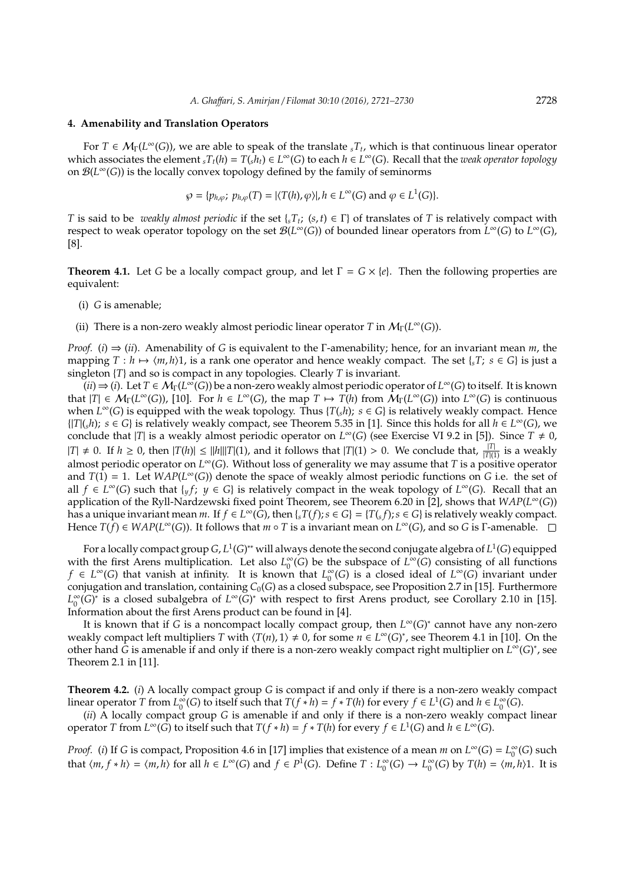#### **4. Amenability and Translation Operators**

For  $T \in M_\Gamma(L^\infty(G))$ , we are able to speak of the translate  ${}_sT_t$ , which is that continuous linear operator which associates the element  ${}_sT_t(h) = T(s^h_t) \in L^\infty(G)$  to each  $h \in L^\infty(G)$ . Recall that the *weak operator topology* on B(*L* <sup>∞</sup>(*G*)) is the locally convex topology defined by the family of seminorms

$$
\wp = \{p_{h,\varphi};\ p_{h,\varphi}(T) = |\langle T(h), \varphi \rangle|, h \in L^{\infty}(G) \text{ and } \varphi \in L^{1}(G)\}.
$$

*T* is said to be *weakly almost periodic* if the set  $\{sT_t; (s,t) \in \Gamma\}$  of translates of *T* is relatively compact with respect to weak operator topology on the set  $\mathcal{B}(L^{\infty}(G))$  of bounded linear operators from  $L^{\infty}(G)$  to  $L^{\infty}(G)$ , [8].

**Theorem 4.1.** Let *G* be a locally compact group, and let  $\Gamma = G \times \{e\}$ . Then the following properties are equivalent:

- (i) *G* is amenable;
- (ii) There is a non-zero weakly almost periodic linear operator *T* in  $M_\Gamma(L^\infty(G))$ .

*Proof.* (*i*) ⇒ (*ii*). Amenability of *G* is equivalent to the Γ-amenability; hence, for an invariant mean *m*, the mapping  $T : h \mapsto \langle m, h \rangle$ 1, is a rank one operator and hence weakly compact. The set {*s* $T$ ; *s*  $\in G$ } is just a singleton {*T*} and so is compact in any topologies. Clearly *T* is invariant.

 $(iii) \Rightarrow (i)$ . Let  $T \in \mathcal{M}_{\Gamma}(L^{\infty}(G))$  be a non-zero weakly almost periodic operator of  $L^{\infty}(G)$  to itself. It is known that  $|T| \in M_{\Gamma}(L^{\infty}(G))$ , [10]. For  $h \in L^{\infty}(G)$ , the map  $T \mapsto T(h)$  from  $\mathcal{M}_{\Gamma}(L^{\infty}(G))$  into  $L^{\infty}(G)$  is continuous when  $L^{\infty}(G)$  is equipped with the weak topology. Thus  $\{T(s h); s \in G\}$  is relatively weakly compact. Hence {|*T*|(*sh*); *s* ∈ *G*} is relatively weakly compact, see Theorem 5.35 in [1]. Since this holds for all *h* ∈ *L* <sup>∞</sup>(*G*), we conclude that  $|T|$  is a weakly almost periodic operator on  $L^{\infty}(G)$  (see Exercise VI 9.2 in [5]). Since  $T \neq 0$ ,  $|T|$  ≠ 0. If *h* ≥ 0, then  $|T(h)| \le ||h|| |T| (1)$ , and it follows that  $|T| (1) > 0$ . We conclude that,  $\frac{|T|}{|T| (1)}$  is a weakly almost periodic operator on *L* <sup>∞</sup>(*G*). Without loss of generality we may assume that *T* is a positive operator and  $T(1) = 1$ . Let  $WAP(L^{\infty}(G))$  denote the space of weakly almost periodic functions on *G* i.e. the set of all *f* ∈  $L^{\infty}(G)$  such that  $\{yf; y \in G\}$  is relatively compact in the weak topology of  $L^{\infty}(G)$ . Recall that an application of the Ryll-Nardzewski fixed point Theorem, see Theorem 6.20 in [2], shows that *WAP*(*L* <sup>∞</sup>(*G*)) has a unique invariant mean *m*. If *f* ∈ *L*<sup>∞</sup>(*G*), then {*sT*(*f*); *s* ∈ *G*} = {*T*(*sf*); *s* ∈ *G*} is relatively weakly compact. Hence  $T(f) \in WAP(L^{\infty}(G))$ . It follows that  $m \circ T$  is a invariant mean on  $L^{\infty}(G)$ , and so G is  $\Gamma$ -amenable.

For a locally compact group  $G$ ,  $L^1(G)^*$  will always denote the second conjugate algebra of  $L^1(G)$  equipped with the first Arens multiplication. Let also *L* ∞  $\int_0^\infty$  (*G*) be the subspace of *L*<sup>∞</sup>(*G*) consisting of all functions  $f \in L^{\infty}(G)$  that vanish at infinity. It is known that  $L_0^{\infty}$  $\int_0^\infty$ (*G*) is a closed ideal of *L*<sup>∞</sup>(*G*) invariant under conjugation and translation, containing  $C_0(G)$  as a closed subspace, see Proposition 2.7 in [15]. Furthermore *L* ∞ <sup>∞</sup><sub>0</sub>(*G*)<sup>\*</sup> is a closed subalgebra of *L*<sup>∞</sup>(*G*)<sup>\*</sup> with respect to first Arens product, see Corollary 2.10 in [15]. Information about the first Arens product can be found in [4].

It is known that if *G* is a noncompact locally compact group, then *L* <sup>∞</sup>(*G*) ∗ cannot have any non-zero weakly compact left multipliers *T* with  $\langle T(n), 1 \rangle \neq 0$ , for some  $n \in L^{\infty}(G)^{*}$ , see Theorem 4.1 in [10]. On the other hand *G* is amenable if and only if there is a non-zero weakly compact right multiplier on *L* <sup>∞</sup>(*G*) ∗ , see Theorem 2.1 in [11].

**Theorem 4.2.** (*i*) A locally compact group *G* is compact if and only if there is a non-zero weakly compact linear operator *T* from *L* ∞  $\int_{0}^{\infty}$  (*G*) to itself such that  $T(f * h) = f * T(h)$  for every  $f \in L^{1}(G)$  and  $h \in L_{0}^{\infty}$  $_{0}^{\infty}(G).$ 

(*ii*) A locally compact group *G* is amenable if and only if there is a non-zero weakly compact linear operator *T* from  $L^{\infty}(G)$  to itself such that  $T(f * h) = f * T(h)$  for every  $f \in L^1(G)$  and  $h \in L^{\infty}(G)$ .

*Proof.* (*i*) If *G* is compact, Proposition 4.6 in [17] implies that existence of a mean *m* on  $L^{\infty}(G) = L_0^{\infty}$  $_{0}^{\infty}(G)$  such that  $\langle m, f * h \rangle = \langle m, h \rangle$  for all  $h \in L^{\infty}(G)$  and  $f \in P^{\mathbb{I}}(G)$ . Define  $T : L^{\infty}_{0}$  $L_0^{\infty}(G) \to L_0^{\infty}$  $\int_0^\infty$ (*G*) by *T*(*h*) =  $\langle m, h \rangle$ 1. It is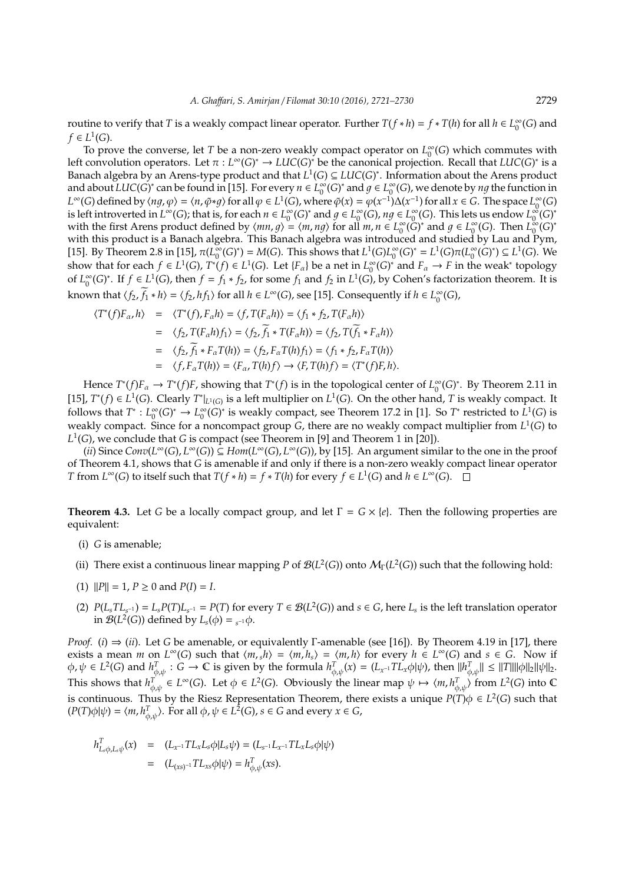routine to verify that *T* is a weakly compact linear operator. Further  $T(f * h) = f * T(h)$  for all  $h \in L_0^{\infty}$  $_0^{\infty}(G)$  and  $f \in L^1(G)$ .

To prove the converse, let *T* be a non-zero weakly compact operator on  $L_0^{\infty}$  $\int_0^\infty$  (*G*) which commutes with left convolution operators. Let  $\pi : L^{\infty}(G)^{*} \to LUC(G)^{*}$  be the canonical projection. Recall that  $LUC(G)^{*}$  is a Banach algebra by an Arens-type product and that  $L^1(G) \subseteq LUC(G)^*$ . Information about the Arens product and about  $LUC(G)^*$  can be found in [15]. For every  $n \in L_0^{\infty}$  $\int_0^\infty (G)^*$  and  $g \in L_0^\infty$  $\int_{0}^{\infty}(G)$ , we denote by  $ng$  the function in  $L^{\infty}(G)$  defined by  $\langle ng, \varphi \rangle = \langle n, \tilde{\varphi} * g \rangle$  for all  $\varphi \in L^{1}(G)$ , where  $\tilde{\varphi}(x) = \varphi(x^{-1})\Delta(x^{-1})$  for all  $x \in G$ . The space  $L^{\infty}_{0}$  $_0^\infty(G)$ is left introverted in  $L^{\infty}(G)$ ; that is, for each  $n \in L^{\infty}_{0}$  $\int_0^\infty (G)^*$  and  $g \in L_0^\infty$  $\sum_{0}^{\infty}(G)$ ,  $ng \in L_0^{\infty}$  $\int_0^\infty$  (*G*). This lets us endow  $L_0^\infty$  $\int_0^\infty$  $(G)^*$ with the first Arens product defined by  $\langle mn, g \rangle = \langle m, ng \rangle$  for all  $m, n \in L_0^{\infty}$  $\int_0^\infty (\check{G})^*$  and  $g \in L_0^\infty$  $L_0^{\infty}(G)$ . Then  $L_0^{\infty}$  $\int_{0}^{\infty}$  *(G)*\* with this product is a Banach algebra. This Banach algebra was introduced and studied by Lau and Pym, [15]. By Theorem 2.8 in [15],  $\pi(L_0^{\infty})$  $\int_0^\infty$  *G*)<sup>\*</sup> $) = M(G)$ . This shows that  $L^1(G)L_0^\infty$  ${}_{0}^{\infty}(G)^{*} = L^{1}(G)\pi(L_{0}^{\infty})$  $L^{\infty}(G)^{*}) \subseteq L^{1}(G)$ . We show that for each  $f \in L^1(G)$ ,  $T^*(f) \in L^1(G)$ . Let  $\{F_\alpha\}$  be a net in  $L_0^\infty$  $\int_0^\infty$  *G*)<sup>\*</sup> and  $F_\alpha \to F$  in the weak<sup>\*</sup> topology of  $L_0^{\infty}$  $\int_0^\infty$  (*G*)<sup>\*</sup>. If  $f \in L^1(G)$ , then  $f = f_1 * f_2$ , for some  $f_1$  and  $f_2$  in  $L^1(G)$ , by Cohen's factorization theorem. It is known that  $\langle f_2, \tilde{f}_1 * h \rangle = \langle f_2, hf_1 \rangle$  for all  $h \in L^{\infty}(G)$ , see [15]. Consequently if  $h \in L^{\infty}_0$  $_0^\infty(G)$ ,

$$
\langle T^*(f)F_\alpha, h \rangle = \langle T^*(f), F_\alpha h \rangle = \langle f, T(F_\alpha h) \rangle = \langle f_1 * f_2, T(F_\alpha h) \rangle
$$
  
\n
$$
= \langle f_2, T(F_\alpha h) f_1 \rangle = \langle f_2, \widetilde{f}_1 * T(F_\alpha h) \rangle = \langle f_2, T(\widetilde{f}_1 * F_\alpha h) \rangle
$$
  
\n
$$
= \langle f_2, \widetilde{f}_1 * F_\alpha T(h) \rangle = \langle f_2, F_\alpha T(h) f_1 \rangle = \langle f_1 * f_2, F_\alpha T(h) \rangle
$$
  
\n
$$
= \langle f, F_\alpha T(h) \rangle = \langle F_\alpha, T(h) f \rangle \to \langle F, T(h) f \rangle = \langle T^*(f) F, h \rangle.
$$

Hence  $T^*(f)F_\alpha \to T^*(f)F$ , showing that  $T^*(f)$  is in the topological center of  $L_0^\infty$  $_{0}^{\infty}(G)^*$ . By Theorem 2.11 in [15],  $T^*(f) \in L^1(G)$ . Clearly  $T^*|_{L^1(G)}$  is a left multiplier on  $L^1(G)$ . On the other hand, *T* is weakly compact. It follows that  $T^*$  :  $L_0^{\infty}$  $O_0^\infty(G)^* \to L_0^\infty$  $\int_0^\infty$  (*G*)<sup>\*</sup> is weakly compact, see Theorem 17.2 in [1]. So *T*<sup>\*</sup> restricted to *L*<sup>1</sup>(*G*) is weakly compact. Since for a noncompact group *G*, there are no weakly compact multiplier from *L* 1 (*G*) to *L* 1 (*G*), we conclude that *G* is compact (see Theorem in [9] and Theorem 1 in [20]).

(*ii*) Since  $Conv(L^∞(G), L^∞(G)) \subseteq Hom(L^∞(G), L^∞(G)),$  by [15]. An argument similar to the one in the proof of Theorem 4.1, shows that *G* is amenable if and only if there is a non-zero weakly compact linear operator *T* from *L*<sup>∞</sup>(*G*) to itself such that *T*(*f* ∗ *h*) = *f* ∗ *T*(*h*) for every *f* ∈ *L*<sup>1</sup>(*G*) and *h* ∈ *L*<sup>∞</sup>(*G*).

**Theorem 4.3.** Let *G* be a locally compact group, and let  $\Gamma = G \times \{e\}$ . Then the following properties are equivalent:

- (i) *G* is amenable;
- (ii) There exist a continuous linear mapping *P* of  $\mathcal{B}(L^2(G))$  onto  $\mathcal{M}_{\Gamma}(L^2(G))$  such that the following hold:
- (1)  $||P|| = 1, P \ge 0$  and  $P(I) = I$ .
- (2)  $P(L_sTL_{s^{-1}}) = L_sP(T)L_{s^{-1}} = P(T)$  for every  $T \in \mathcal{B}(L^2(G))$  and  $s \in G$ , here  $L_s$  is the left translation operator in  $\mathcal{B}(L^2(G))$  defined by  $L_s(\phi) = {}_{s^{-1}}\phi$ .

*Proof.* (*i*)  $\Rightarrow$  (*ii*). Let *G* be amenable, or equivalently Γ-amenable (see [16]). By Theorem 4.19 in [17], there exists a mean *m* on  $L^{\infty}(G)$  such that  $\langle m, sh \rangle = \langle m, h_s \rangle = \langle m, h \rangle$  for every  $h \in L^{\infty}(G)$  and  $s \in G$ . Now if  $\phi, \psi \in L^2(G)$  and  $h_{\phi, \psi}^T : G \to \mathbb{C}$  is given by the formula  $h_{\phi, \psi}^T(x) = (L_{x^{-1}}TL_x\phi|\psi)$ , then  $||h_{\phi, \psi}^T|| \leq ||T|| ||\phi||_2 ||\psi||_2$ . This shows that  $h_{\phi,\psi}^T \in L^{\infty}(G)$ . Let  $\phi \in L^2(G)$ . Obviously the linear map  $\psi \mapsto \langle m, h_{\phi,\psi}^T \rangle$  from  $L^2(G)$  into C is continuous. Thus by the Riesz Representation Theorem, there exists a unique  $P(T)\phi \in L^2(G)$  such that  $(P(T) \phi | \psi) = \langle m, h_{\phi, \psi}^T \rangle$ . For all  $\phi, \psi \in L^2(G)$ ,  $s \in G$  and every  $x \in G$ ,

$$
h_{L_s\phi,L_s\psi}^T(x) = (L_{x^{-1}}TL_xL_s\phi|L_s\psi) = (L_{s^{-1}}L_{x^{-1}}TL_xL_s\phi|\psi) = (L_{(xs)^{-1}}TL_{xs}\phi|\psi) = h_{\phi,\psi}^T(xs).
$$